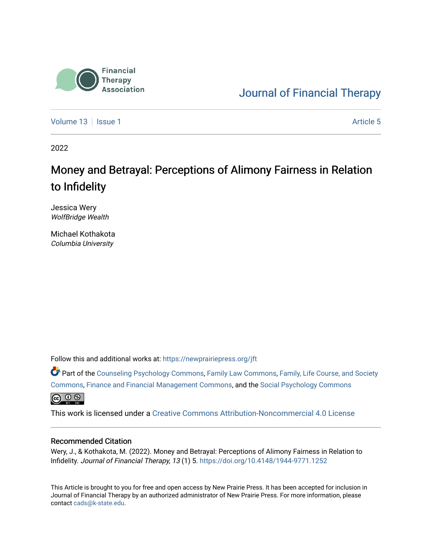

[Journal of Financial Therapy](https://newprairiepress.org/jft) 

[Volume 13](https://newprairiepress.org/jft/vol13) Setup 1 Article 5

2022

# Money and Betrayal: Perceptions of Alimony Fairness in Relation to Infidelity

Jessica Wery WolfBridge Wealth

Michael Kothakota Columbia University

Follow this and additional works at: [https://newprairiepress.org/jft](https://newprairiepress.org/jft?utm_source=newprairiepress.org%2Fjft%2Fvol13%2Fiss1%2F5&utm_medium=PDF&utm_campaign=PDFCoverPages)

Part of the [Counseling Psychology Commons](https://network.bepress.com/hgg/discipline/1044?utm_source=newprairiepress.org%2Fjft%2Fvol13%2Fiss1%2F5&utm_medium=PDF&utm_campaign=PDFCoverPages), [Family Law Commons](https://network.bepress.com/hgg/discipline/602?utm_source=newprairiepress.org%2Fjft%2Fvol13%2Fiss1%2F5&utm_medium=PDF&utm_campaign=PDFCoverPages), [Family, Life Course, and Society](https://network.bepress.com/hgg/discipline/419?utm_source=newprairiepress.org%2Fjft%2Fvol13%2Fiss1%2F5&utm_medium=PDF&utm_campaign=PDFCoverPages) [Commons](https://network.bepress.com/hgg/discipline/419?utm_source=newprairiepress.org%2Fjft%2Fvol13%2Fiss1%2F5&utm_medium=PDF&utm_campaign=PDFCoverPages), [Finance and Financial Management Commons,](https://network.bepress.com/hgg/discipline/631?utm_source=newprairiepress.org%2Fjft%2Fvol13%2Fiss1%2F5&utm_medium=PDF&utm_campaign=PDFCoverPages) and the [Social Psychology Commons](https://network.bepress.com/hgg/discipline/414?utm_source=newprairiepress.org%2Fjft%2Fvol13%2Fiss1%2F5&utm_medium=PDF&utm_campaign=PDFCoverPages)  $\bigoplus$   $\bigoplus$   $\bigoplus$ 

This work is licensed under a [Creative Commons Attribution-Noncommercial 4.0 License](https://creativecommons.org/licenses/by-nc/4.0/)

#### Recommended Citation

Wery, J., & Kothakota, M. (2022). Money and Betrayal: Perceptions of Alimony Fairness in Relation to Infidelity. Journal of Financial Therapy, 13 (1) 5.<https://doi.org/10.4148/1944-9771.1252>

This Article is brought to you for free and open access by New Prairie Press. It has been accepted for inclusion in Journal of Financial Therapy by an authorized administrator of New Prairie Press. For more information, please contact [cads@k-state.edu](mailto:cads@k-state.edu).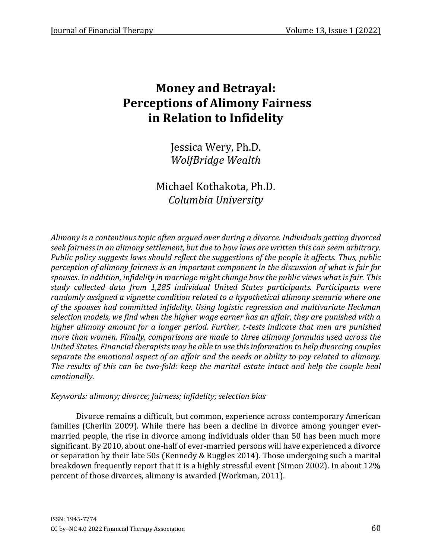Jessica Wery, Ph.D. *WolfBridge Wealth*

Michael Kothakota, Ph.D. *Columbia University*

*Alimony is a contentious topic often argued over during a divorce. Individuals getting divorced seek fairness in an alimony settlement, but due to how laws are written this can seem arbitrary. Public policy suggests laws should reflect the suggestions of the people it affects. Thus, public perception of alimony fairness is an important component in the discussion of what is fair for spouses. In addition, infidelity in marriage might change how the public views what is fair. This study collected data from 1,285 individual United States participants. Participants were randomly assigned a vignette condition related to a hypothetical alimony scenario where one of the spouses had committed infidelity. Using logistic regression and multivariate Heckman selection models, we find when the higher wage earner has an affair, they are punished with a higher alimony amount for a longer period. Further, t-tests indicate that men are punished more than women. Finally, comparisons are made to three alimony formulas used across the United States. Financial therapists may be able to use this information to help divorcing couples separate the emotional aspect of an affair and the needs or ability to pay related to alimony. The results of this can be two-fold: keep the marital estate intact and help the couple heal emotionally.*

#### *Keywords: alimony; divorce; fairness; infidelity; selection bias*

Divorce remains a difficult, but common, experience across contemporary American families (Cherlin 2009). While there has been a decline in divorce among younger evermarried people, the rise in divorce among individuals older than 50 has been much more significant. By 2010, about one-half of ever-married persons will have experienced a divorce or separation by their late 50s (Kennedy & Ruggles 2014). Those undergoing such a marital breakdown frequently report that it is a highly stressful event (Simon 2002). In about 12% percent of those divorces, alimony is awarded (Workman, 2011).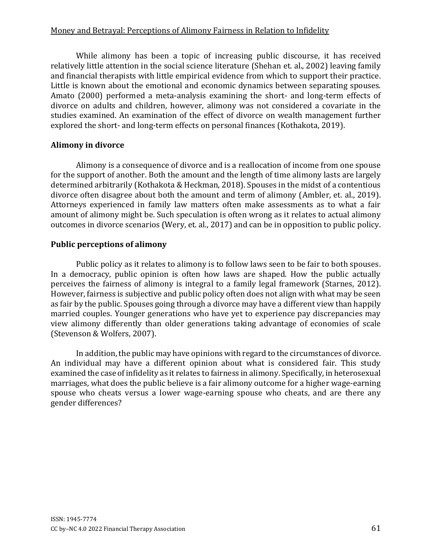While alimony has been a topic of increasing public discourse, it has received relatively little attention in the social science literature (Shehan et. al., 2002) leaving family and financial therapists with little empirical evidence from which to support their practice. Little is known about the emotional and economic dynamics between separating spouses. Amato (2000) performed a meta-analysis examining the short- and long-term effects of divorce on adults and children, however, alimony was not considered a covariate in the studies examined. An examination of the effect of divorce on wealth management further explored the short- and long-term effects on personal finances (Kothakota, 2019).

## **Alimony in divorce**

Alimony is a consequence of divorce and is a reallocation of income from one spouse for the support of another. Both the amount and the length of time alimony lasts are largely determined arbitrarily (Kothakota & Heckman, 2018). Spouses in the midst of a contentious divorce often disagree about both the amount and term of alimony (Ambler, et. al., 2019). Attorneys experienced in family law matters often make assessments as to what a fair amount of alimony might be. Such speculation is often wrong as it relates to actual alimony outcomes in divorce scenarios (Wery, et. al., 2017) and can be in opposition to public policy.

## **Public perceptions of alimony**

Public policy as it relates to alimony is to follow laws seen to be fair to both spouses. In a democracy, public opinion is often how laws are shaped. How the public actually perceives the fairness of alimony is integral to a family legal framework (Starnes, 2012). However, fairness is subjective and public policy often does not align with what may be seen as fair by the public. Spouses going through a divorce may have a different view than happily married couples. Younger generations who have yet to experience pay discrepancies may view alimony differently than older generations taking advantage of economies of scale (Stevenson & Wolfers, 2007).

In addition, the public may have opinions with regard to the circumstances of divorce. An individual may have a different opinion about what is considered fair. This study examined the case of infidelity as it relates to fairness in alimony. Specifically, in heterosexual marriages, what does the public believe is a fair alimony outcome for a higher wage-earning spouse who cheats versus a lower wage-earning spouse who cheats, and are there any gender differences?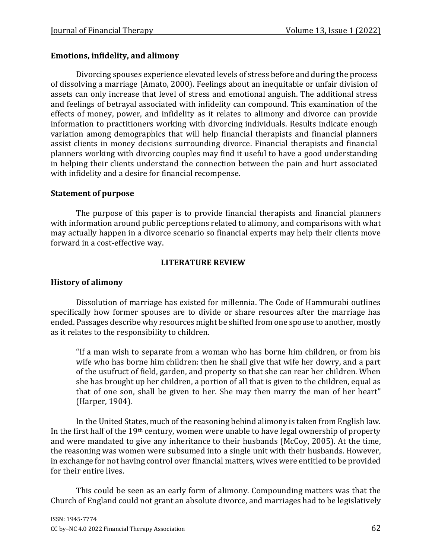## **Emotions, infidelity, and alimony**

Divorcing spouses experience elevated levels of stress before and during the process of dissolving a marriage (Amato, 2000). Feelings about an inequitable or unfair division of assets can only increase that level of stress and emotional anguish. The additional stress and feelings of betrayal associated with infidelity can compound. This examination of the effects of money, power, and infidelity as it relates to alimony and divorce can provide information to practitioners working with divorcing individuals. Results indicate enough variation among demographics that will help financial therapists and financial planners assist clients in money decisions surrounding divorce. Financial therapists and financial planners working with divorcing couples may find it useful to have a good understanding in helping their clients understand the connection between the pain and hurt associated with infidelity and a desire for financial recompense.

## **Statement of purpose**

The purpose of this paper is to provide financial therapists and financial planners with information around public perceptions related to alimony, and comparisons with what may actually happen in a divorce scenario so financial experts may help their clients move forward in a cost-effective way.

## **LITERATURE REVIEW**

## **History of alimony**

Dissolution of marriage has existed for millennia. The Code of Hammurabi outlines specifically how former spouses are to divide or share resources after the marriage has ended. Passages describe why resources might be shifted from one spouse to another, mostly as it relates to the responsibility to children.

"If a man wish to separate from a woman who has borne him children, or from his wife who has borne him children: then he shall give that wife her dowry, and a part of the usufruct of field, garden, and property so that she can rear her children. When she has brought up her children, a portion of all that is given to the children, equal as that of one son, shall be given to her. She may then marry the man of her heart" (Harper, 1904).

In the United States, much of the reasoning behind alimony is taken from English law. In the first half of the 19th century, women were unable to have legal ownership of property and were mandated to give any inheritance to their husbands (McCoy, 2005). At the time, the reasoning was women were subsumed into a single unit with their husbands. However, in exchange for not having control over financial matters, wives were entitled to be provided for their entire lives.

This could be seen as an early form of alimony. Compounding matters was that the Church of England could not grant an absolute divorce, and marriages had to be legislatively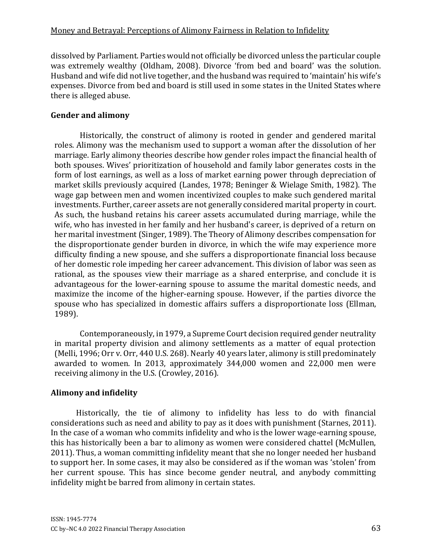dissolved by Parliament. Parties would not officially be divorced unless the particular couple was extremely wealthy (Oldham, 2008). Divorce 'from bed and board' was the solution. Husband and wife did not live together, and the husband was required to 'maintain' his wife's expenses. Divorce from bed and board is still used in some states in the United States where there is alleged abuse.

## **Gender and alimony**

Historically, the construct of alimony is rooted in gender and gendered marital roles. Alimony was the mechanism used to support a woman after the dissolution of her marriage. Early alimony theories describe how gender roles impact the financial health of both spouses. Wives' prioritization of household and family labor generates costs in the form of lost earnings, as well as a loss of market earning power through depreciation of market skills previously acquired (Landes, 1978; Beninger & Wielage Smith, 1982). The wage gap between men and women incentivized couples to make such gendered marital investments. Further, career assets are not generally considered marital property in court. As such, the husband retains his career assets accumulated during marriage, while the wife, who has invested in her family and her husband's career, is deprived of a return on her marital investment (Singer, 1989). The Theory of Alimony describes compensation for the disproportionate gender burden in divorce, in which the wife may experience more difficulty finding a new spouse, and she suffers a disproportionate financial loss because of her domestic role impeding her career advancement. This division of labor was seen as rational, as the spouses view their marriage as a shared enterprise, and conclude it is advantageous for the lower-earning spouse to assume the marital domestic needs, and maximize the income of the higher-earning spouse. However, if the parties divorce the spouse who has specialized in domestic affairs suffers a disproportionate loss (Ellman, 1989).

Contemporaneously, in 1979, a Supreme Court decision required gender neutrality in marital property division and alimony settlements as a matter of equal protection (Melli, 1996; Orr v. Orr, 440 U.S. 268). Nearly 40 years later, alimony is still predominately awarded to women. In 2013, approximately 344,000 women and 22,000 men were receiving alimony in the U.S. (Crowley, 2016).

## **Alimony and infidelity**

Historically, the tie of alimony to infidelity has less to do with financial considerations such as need and ability to pay as it does with punishment (Starnes, 2011). In the case of a woman who commits infidelity and who is the lower wage-earning spouse, this has historically been a bar to alimony as women were considered chattel (McMullen, 2011). Thus, a woman committing infidelity meant that she no longer needed her husband to support her. In some cases, it may also be considered as if the woman was 'stolen' from her current spouse. This has since become gender neutral, and anybody committing infidelity might be barred from alimony in certain states.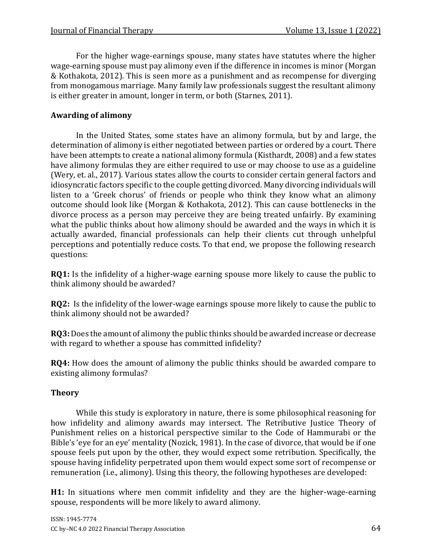For the higher wage-earnings spouse, many states have statutes where the higher wage-earning spouse must pay alimony even if the difference in incomes is minor (Morgan & Kothakota, 2012). This is seen more as a punishment and as recompense for diverging from monogamous marriage. Many family law professionals suggest the resultant alimony is either greater in amount, longer in term, or both (Starnes, 2011).

# **Awarding of alimony**

In the United States, some states have an alimony formula, but by and large, the determination of alimony is either negotiated between parties or ordered by a court. There have been attempts to create a national alimony formula (Kisthardt, 2008) and a few states have alimony formulas they are either required to use or may choose to use as a guideline (Wery, et. al., 2017). Various states allow the courts to consider certain general factors and idiosyncratic factors specific to the couple getting divorced. Many divorcing individuals will listen to a 'Greek chorus' of friends or people who think they know what an alimony outcome should look like (Morgan & Kothakota, 2012). This can cause bottlenecks in the divorce process as a person may perceive they are being treated unfairly. By examining what the public thinks about how alimony should be awarded and the ways in which it is actually awarded, financial professionals can help their clients cut through unhelpful perceptions and potentially reduce costs. To that end, we propose the following research questions:

**RQ1:** Is the infidelity of a higher-wage earning spouse more likely to cause the public to think alimony should be awarded?

**RQ2:** Is the infidelity of the lower-wage earnings spouse more likely to cause the public to think alimony should not be awarded?

**RQ3:** Does the amount of alimony the public thinks should be awarded increase or decrease with regard to whether a spouse has committed infidelity?

**RQ4:** How does the amount of alimony the public thinks should be awarded compare to existing alimony formulas?

## **Theory**

While this study is exploratory in nature, there is some philosophical reasoning for how infidelity and alimony awards may intersect. The Retributive Justice Theory of Punishment relies on a historical perspective similar to the Code of Hammurabi or the Bible's 'eye for an eye' mentality (Nozick, 1981). In the case of divorce, that would be if one spouse feels put upon by the other, they would expect some retribution. Specifically, the spouse having infidelity perpetrated upon them would expect some sort of recompense or remuneration (i.e., alimony). Using this theory, the following hypotheses are developed:

**H1:** In situations where men commit infidelity and they are the higher-wage-earning spouse, respondents will be more likely to award alimony.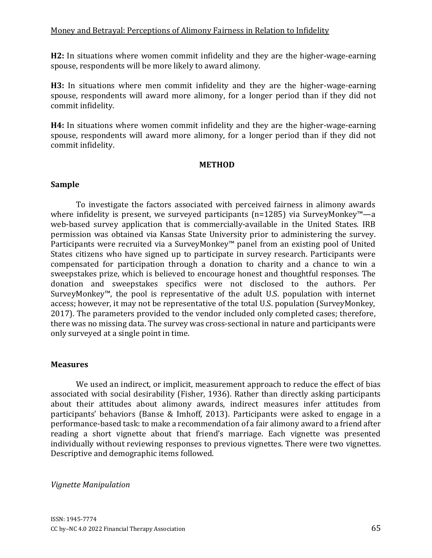**H2:** In situations where women commit infidelity and they are the higher-wage-earning spouse, respondents will be more likely to award alimony.

**H3:** In situations where men commit infidelity and they are the higher-wage-earning spouse, respondents will award more alimony, for a longer period than if they did not commit infidelity.

**H4:** In situations where women commit infidelity and they are the higher-wage-earning spouse, respondents will award more alimony, for a longer period than if they did not commit infidelity.

#### **METHOD**

#### **Sample**

To investigate the factors associated with perceived fairness in alimony awards where infidelity is present, we surveyed participants (n=1285) via SurveyMonkey™—a web-based survey application that is commercially-available in the United States. IRB permission was obtained via Kansas State University prior to administering the survey. Participants were recruited via a SurveyMonkey™ panel from an existing pool of United States citizens who have signed up to participate in survey research. Participants were compensated for participation through a donation to charity and a chance to win a sweepstakes prize, which is believed to encourage honest and thoughtful responses. The donation and sweepstakes specifics were not disclosed to the authors. Per SurveyMonkey™, the pool is representative of the adult U.S. population with internet access; however, it may not be representative of the total U.S. population (SurveyMonkey, 2017). The parameters provided to the vendor included only completed cases; therefore, there was no missing data. The survey was cross-sectional in nature and participants were only surveyed at a single point in time.

#### **Measures**

We used an indirect, or implicit, measurement approach to reduce the effect of bias associated with social desirability (Fisher, 1936). Rather than directly asking participants about their attitudes about alimony awards, indirect measures infer attitudes from participants' behaviors (Banse & Imhoff, 2013). Participants were asked to engage in a performance-based task: to make a recommendation of a fair alimony award to a friend after reading a short vignette about that friend's marriage. Each vignette was presented individually without reviewing responses to previous vignettes. There were two vignettes. Descriptive and demographic items followed.

#### *Vignette Manipulation*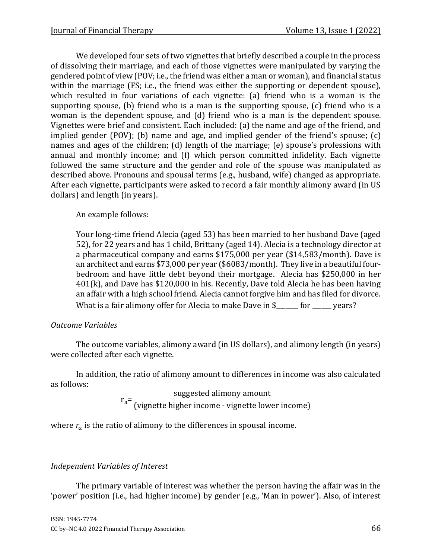We developed four sets of two vignettes that briefly described a couple in the process of dissolving their marriage, and each of those vignettes were manipulated by varying the gendered point of view (POV; i.e., the friend was either a man or woman), and financial status within the marriage (FS; i.e., the friend was either the supporting or dependent spouse), which resulted in four variations of each vignette: (a) friend who is a woman is the supporting spouse, (b) friend who is a man is the supporting spouse, (c) friend who is a woman is the dependent spouse, and (d) friend who is a man is the dependent spouse. Vignettes were brief and consistent. Each included: (a) the name and age of the friend, and implied gender (POV); (b) name and age, and implied gender of the friend's spouse; (c) names and ages of the children; (d) length of the marriage; (e) spouse's professions with annual and monthly income; and (f) which person committed infidelity. Each vignette followed the same structure and the gender and role of the spouse was manipulated as described above. Pronouns and spousal terms (e.g., husband, wife) changed as appropriate. After each vignette, participants were asked to record a fair monthly alimony award (in US dollars) and length (in years).

An example follows:

Your long-time friend Alecia (aged 53) has been married to her husband Dave (aged 52), for 22 years and has 1 child, Brittany (aged 14). Alecia is a technology director at a pharmaceutical company and earns \$175,000 per year (\$14,583/month). Dave is an architect and earns \$73,000 per year (\$6083/month). They live in a beautiful fourbedroom and have little debt beyond their mortgage. Alecia has \$250,000 in her 401(k), and Dave has \$120,000 in his. Recently, Dave told Alecia he has been having an affair with a high school friend. Alecia cannot forgive him and has filed for divorce. What is a fair alimony offer for Alecia to make Dave in \$\_\_\_\_\_\_ for \_\_\_\_\_ years?

## *Outcome Variables*

The outcome variables, alimony award (in US dollars), and alimony length (in years) were collected after each vignette.

In addition, the ratio of alimony amount to differences in income was also calculated as follows:

 $r_a =$ suggested alimony amount (vignette higher income - vignette lower income)

where  $r_a$  is the ratio of alimony to the differences in spousal income.

## *Independent Variables of Interest*

The primary variable of interest was whether the person having the affair was in the 'power' position (i.e., had higher income) by gender (e.g., 'Man in power'). Also, of interest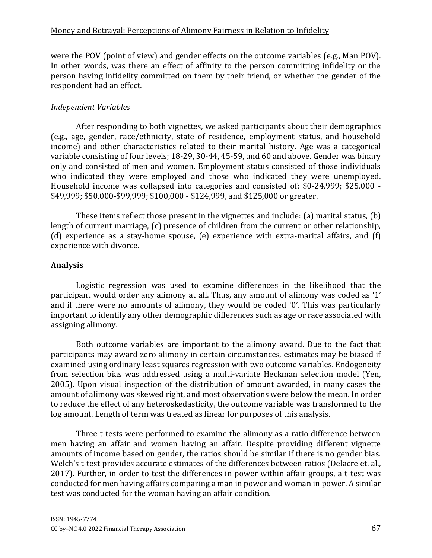were the POV (point of view) and gender effects on the outcome variables (e.g., Man POV). In other words, was there an effect of affinity to the person committing infidelity or the person having infidelity committed on them by their friend, or whether the gender of the respondent had an effect.

## *Independent Variables*

After responding to both vignettes, we asked participants about their demographics (e.g., age, gender, race/ethnicity, state of residence, employment status, and household income) and other characteristics related to their marital history. Age was a categorical variable consisting of four levels; 18-29, 30-44, 45-59, and 60 and above. Gender was binary only and consisted of men and women. Employment status consisted of those individuals who indicated they were employed and those who indicated they were unemployed. Household income was collapsed into categories and consisted of: \$0-24,999; \$25,000 - \$49,999; \$50,000-\$99,999; \$100,000 - \$124,999, and \$125,000 or greater.

These items reflect those present in the vignettes and include: (a) marital status, (b) length of current marriage, (c) presence of children from the current or other relationship, (d) experience as a stay-home spouse, (e) experience with extra-marital affairs, and (f) experience with divorce.

## **Analysis**

Logistic regression was used to examine differences in the likelihood that the participant would order any alimony at all. Thus, any amount of alimony was coded as '1' and if there were no amounts of alimony, they would be coded '0'. This was particularly important to identify any other demographic differences such as age or race associated with assigning alimony.

Both outcome variables are important to the alimony award. Due to the fact that participants may award zero alimony in certain circumstances, estimates may be biased if examined using ordinary least squares regression with two outcome variables. Endogeneity from selection bias was addressed using a multi-variate Heckman selection model (Yen, 2005). Upon visual inspection of the distribution of amount awarded, in many cases the amount of alimony was skewed right, and most observations were below the mean. In order to reduce the effect of any heteroskedasticity, the outcome variable was transformed to the log amount. Length of term was treated as linear for purposes of this analysis.

Three t-tests were performed to examine the alimony as a ratio difference between men having an affair and women having an affair. Despite providing different vignette amounts of income based on gender, the ratios should be similar if there is no gender bias. Welch's t-test provides accurate estimates of the differences between ratios (Delacre et. al., 2017). Further, in order to test the differences in power within affair groups, a t-test was conducted for men having affairs comparing a man in power and woman in power. A similar test was conducted for the woman having an affair condition.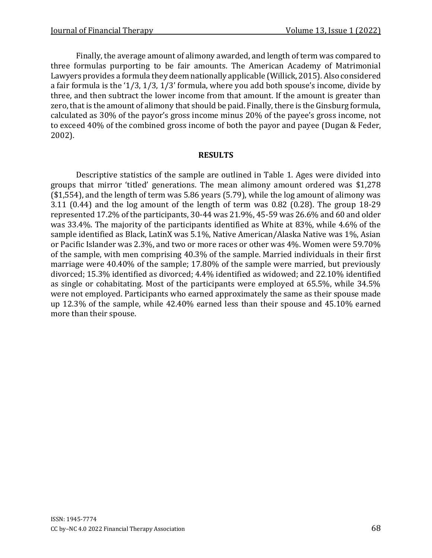Finally, the average amount of alimony awarded, and length of term was compared to three formulas purporting to be fair amounts. The American Academy of Matrimonial Lawyers provides a formula they deem nationally applicable (Willick, 2015). Also considered a fair formula is the '1/3, 1/3, 1/3' formula, where you add both spouse's income, divide by three, and then subtract the lower income from that amount. If the amount is greater than zero, that is the amount of alimony that should be paid. Finally, there is the Ginsburg formula, calculated as 30% of the payor's gross income minus 20% of the payee's gross income, not to exceed 40% of the combined gross income of both the payor and payee (Dugan & Feder, 2002).

#### **RESULTS**

Descriptive statistics of the sample are outlined in Table 1. Ages were divided into groups that mirror 'titled' generations. The mean alimony amount ordered was \$1,278 (\$1,554), and the length of term was 5.86 years (5.79), while the log amount of alimony was 3.11 (0.44) and the log amount of the length of term was 0.82 (0.28). The group 18-29 represented 17.2% of the participants, 30-44 was 21.9%, 45-59 was 26.6% and 60 and older was 33.4%. The majority of the participants identified as White at 83%, while 4.6% of the sample identified as Black, LatinX was 5.1%, Native American/Alaska Native was 1%, Asian or Pacific Islander was 2.3%, and two or more races or other was 4%. Women were 59.70% of the sample, with men comprising 40.3% of the sample. Married individuals in their first marriage were 40.40% of the sample; 17.80% of the sample were married, but previously divorced; 15.3% identified as divorced; 4.4% identified as widowed; and 22.10% identified as single or cohabitating. Most of the participants were employed at 65.5%, while 34.5% were not employed. Participants who earned approximately the same as their spouse made up 12.3% of the sample, while 42.40% earned less than their spouse and 45.10% earned more than their spouse.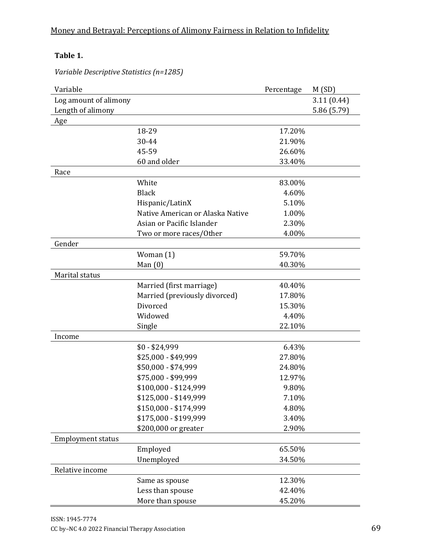| Variable                 |                                  | Percentage | M(SD)       |
|--------------------------|----------------------------------|------------|-------------|
| Log amount of alimony    |                                  |            | 3.11(0.44)  |
| Length of alimony        |                                  |            | 5.86 (5.79) |
| Age                      |                                  |            |             |
|                          | 18-29                            | 17.20%     |             |
|                          | 30-44                            | 21.90%     |             |
|                          | 45-59                            | 26.60%     |             |
|                          | 60 and older                     | 33.40%     |             |
| Race                     |                                  |            |             |
|                          | White                            | 83.00%     |             |
|                          | <b>Black</b>                     | 4.60%      |             |
|                          | Hispanic/LatinX                  | 5.10%      |             |
|                          | Native American or Alaska Native | 1.00%      |             |
|                          | Asian or Pacific Islander        | 2.30%      |             |
|                          | Two or more races/Other          | 4.00%      |             |
| Gender                   |                                  |            |             |
|                          | Woman $(1)$                      | 59.70%     |             |
|                          | Man $(0)$                        | 40.30%     |             |
| Marital status           |                                  |            |             |
|                          | Married (first marriage)         | 40.40%     |             |
|                          | Married (previously divorced)    | 17.80%     |             |
|                          | Divorced                         | 15.30%     |             |
|                          | Widowed                          | 4.40%      |             |
|                          | Single                           | 22.10%     |             |
| Income                   |                                  |            |             |
|                          | $$0 - $24,999$                   | 6.43%      |             |
|                          | \$25,000 - \$49,999              | 27.80%     |             |
|                          | \$50,000 - \$74,999              | 24.80%     |             |
|                          | \$75,000 - \$99,999              | 12.97%     |             |
|                          | \$100,000 - \$124,999            | 9.80%      |             |
|                          | \$125,000 - \$149,999            | 7.10%      |             |
|                          | \$150,000 - \$174,999            | 4.80%      |             |
|                          | \$175,000 - \$199,999            | 3.40%      |             |
|                          | \$200,000 or greater             | 2.90%      |             |
| <b>Employment status</b> |                                  |            |             |
|                          | Employed                         | 65.50%     |             |
|                          | Unemployed                       | 34.50%     |             |
| Relative income          |                                  |            |             |
|                          | Same as spouse                   | 12.30%     |             |
|                          | Less than spouse                 | 42.40%     |             |
|                          | More than spouse                 | 45.20%     |             |

# **Table 1.**

*Variable Descriptive Statistics (n=1285)*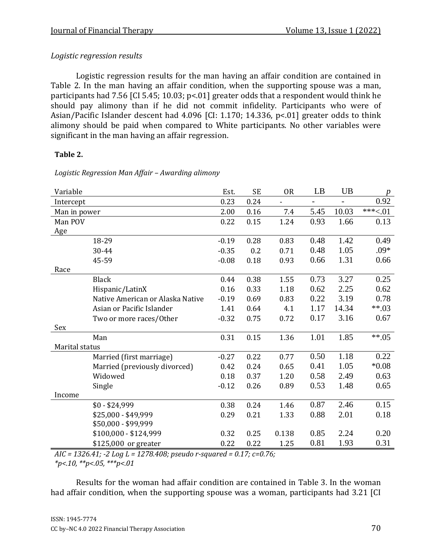# *Logistic regression results*

Logistic regression results for the man having an affair condition are contained in Table 2. In the man having an affair condition, when the supporting spouse was a man, participants had 7.56 [CI 5.45; 10.03; p<.01] greater odds that a respondent would think he should pay alimony than if he did not commit infidelity. Participants who were of Asian/Pacific Islander descent had 4.096 [CI: 1.170; 14.336, p<.01] greater odds to think alimony should be paid when compared to White participants. No other variables were significant in the man having an affair regression.

#### **Table 2.**

| Logistic Regression Man Affair - Awarding alimony |
|---------------------------------------------------|
|                                                   |

| Variable       |                                  | Est.    | <b>SE</b> | 0 <sub>R</sub>               | LB   | UB    | $\boldsymbol{p}$ |
|----------------|----------------------------------|---------|-----------|------------------------------|------|-------|------------------|
| Intercept      |                                  | 0.23    | 0.24      | $\qquad \qquad \blacksquare$ |      |       | 0.92             |
| Man in power   |                                  | 2.00    | 0.16      | 7.4                          | 5.45 | 10.03 | $***<.01$        |
| Man POV        |                                  | 0.22    | 0.15      | 1.24                         | 0.93 | 1.66  | 0.13             |
| Age            |                                  |         |           |                              |      |       |                  |
|                | 18-29                            | $-0.19$ | 0.28      | 0.83                         | 0.48 | 1.42  | 0.49             |
|                | 30-44                            | $-0.35$ | 0.2       | 0.71                         | 0.48 | 1.05  | $.09*$           |
|                | 45-59                            | $-0.08$ | 0.18      | 0.93                         | 0.66 | 1.31  | 0.66             |
| Race           |                                  |         |           |                              |      |       |                  |
|                | <b>Black</b>                     | 0.44    | 0.38      | 1.55                         | 0.73 | 3.27  | 0.25             |
|                | Hispanic/LatinX                  | 0.16    | 0.33      | 1.18                         | 0.62 | 2.25  | 0.62             |
|                | Native American or Alaska Native | $-0.19$ | 0.69      | 0.83                         | 0.22 | 3.19  | 0.78             |
|                | Asian or Pacific Islander        | 1.41    | 0.64      | 4.1                          | 1.17 | 14.34 | $**03$           |
|                | Two or more races/Other          | $-0.32$ | 0.75      | 0.72                         | 0.17 | 3.16  | 0.67             |
| Sex            |                                  |         |           |                              |      |       |                  |
|                | Man                              | 0.31    | 0.15      | 1.36                         | 1.01 | 1.85  | $***.05$         |
| Marital status |                                  |         |           |                              |      |       |                  |
|                | Married (first marriage)         | $-0.27$ | 0.22      | 0.77                         | 0.50 | 1.18  | 0.22             |
|                | Married (previously divorced)    | 0.42    | 0.24      | 0.65                         | 0.41 | 1.05  | $*0.08$          |
|                | Widowed                          | 0.18    | 0.37      | 1.20                         | 0.58 | 2.49  | 0.63             |
|                | Single                           | $-0.12$ | 0.26      | 0.89                         | 0.53 | 1.48  | 0.65             |
| Income         |                                  |         |           |                              |      |       |                  |
|                | $$0 - $24,999$                   | 0.38    | 0.24      | 1.46                         | 0.87 | 2.46  | 0.15             |
|                | \$25,000 - \$49,999              | 0.29    | 0.21      | 1.33                         | 0.88 | 2.01  | 0.18             |
|                | \$50,000 - \$99,999              |         |           |                              |      |       |                  |
|                | \$100,000 - \$124,999            | 0.32    | 0.25      | 0.138                        | 0.85 | 2.24  | 0.20             |
|                | \$125,000 or greater             | 0.22    | 0.22      | 1.25                         | 0.81 | 1.93  | 0.31             |

*AIC = 1326.41; -2 Log L = 1278.408; pseudo r-squared = 0.17; c=0.76; \*p<.10, \*\*p<.05, \*\*\*p<.01*

Results for the woman had affair condition are contained in Table 3. In the woman had affair condition, when the supporting spouse was a woman, participants had 3.21 [CI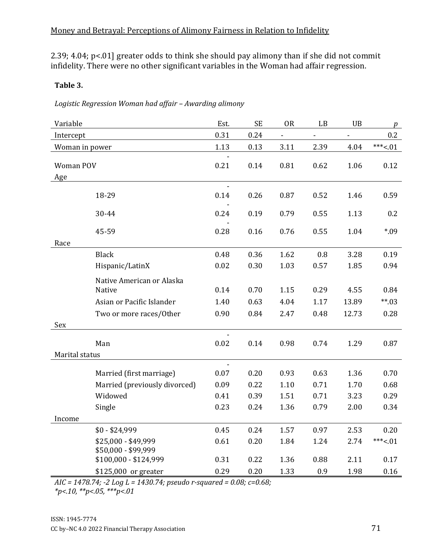2.39; 4.04; p<.01] greater odds to think she should pay alimony than if she did not commit infidelity. There were no other significant variables in the Woman had affair regression.

#### **Table 3.**

| Logistic Regression Woman had affair - Awarding alimony |  |  |
|---------------------------------------------------------|--|--|
|                                                         |  |  |

| Variable       |                                            | Est. | <b>SE</b> | <b>OR</b>                | LB   | UB    | p         |
|----------------|--------------------------------------------|------|-----------|--------------------------|------|-------|-----------|
| Intercept      |                                            | 0.31 | 0.24      | $\overline{\phantom{0}}$ |      |       | 0.2       |
| Woman in power |                                            | 1.13 | 0.13      | 3.11                     | 2.39 | 4.04  | $***<.01$ |
|                |                                            |      |           |                          |      |       |           |
| Woman POV      |                                            | 0.21 | 0.14      | 0.81                     | 0.62 | 1.06  | 0.12      |
| Age            |                                            |      |           |                          |      |       |           |
|                | 18-29                                      | 0.14 | 0.26      | 0.87                     | 0.52 | 1.46  | 0.59      |
|                | 30-44                                      | 0.24 | 0.19      | 0.79                     | 0.55 | 1.13  | 0.2       |
|                | 45-59                                      | 0.28 | 0.16      | 0.76                     | 0.55 | 1.04  | *.09      |
| Race           |                                            |      |           |                          |      |       |           |
|                | <b>Black</b>                               | 0.48 | 0.36      | 1.62                     | 0.8  | 3.28  | 0.19      |
|                | Hispanic/LatinX                            | 0.02 | 0.30      | 1.03                     | 0.57 | 1.85  | 0.94      |
|                | Native American or Alaska                  |      |           |                          |      |       |           |
|                | Native                                     | 0.14 | 0.70      | 1.15                     | 0.29 | 4.55  | 0.84      |
|                | Asian or Pacific Islander                  | 1.40 | 0.63      | 4.04                     | 1.17 | 13.89 | $**03$    |
|                | Two or more races/Other                    | 0.90 | 0.84      | 2.47                     | 0.48 | 12.73 | 0.28      |
| Sex            |                                            |      |           |                          |      |       |           |
|                |                                            |      |           |                          |      |       |           |
|                | Man                                        | 0.02 | 0.14      | 0.98                     | 0.74 | 1.29  | 0.87      |
| Marital status |                                            |      |           |                          |      |       |           |
|                | Married (first marriage)                   | 0.07 | 0.20      | 0.93                     | 0.63 | 1.36  | 0.70      |
|                | Married (previously divorced)              | 0.09 | 0.22      | 1.10                     | 0.71 | 1.70  | 0.68      |
|                | Widowed                                    | 0.41 | 0.39      | 1.51                     | 0.71 | 3.23  | 0.29      |
|                | Single                                     | 0.23 | 0.24      | 1.36                     | 0.79 | 2.00  | 0.34      |
| Income         |                                            |      |           |                          |      |       |           |
|                | $$0 - $24,999$                             | 0.45 | 0.24      | 1.57                     | 0.97 | 2.53  | 0.20      |
|                | \$25,000 - \$49,999<br>\$50,000 - \$99,999 | 0.61 | 0.20      | 1.84                     | 1.24 | 2.74  | $***<.01$ |
|                | \$100,000 - \$124,999                      | 0.31 | 0.22      | 1.36                     | 0.88 | 2.11  | 0.17      |
|                | \$125,000 or greater                       | 0.29 | 0.20      | 1.33                     | 0.9  | 1.98  | 0.16      |

*AIC = 1478.74; -2 Log L = 1430.74; pseudo r-squared = 0.08; c=0.68;* 

*\*p<.10, \*\*p<.05, \*\*\*p<.01*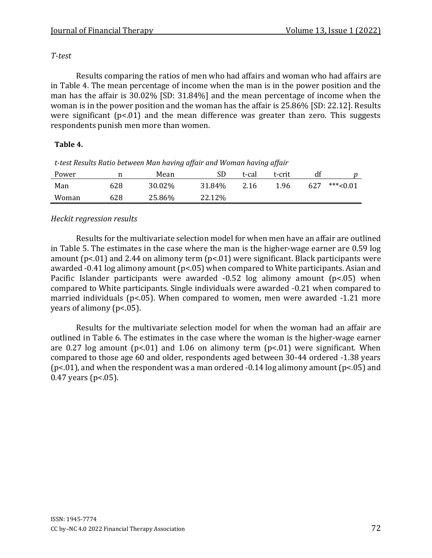#### *T-test*

Results comparing the ratios of men who had affairs and woman who had affairs are in Table 4. The mean percentage of income when the man is in the power position and the man has the affair is 30.02% [SD: 31.84%] and the mean percentage of income when the woman is in the power position and the woman has the affair is 25.86% [SD: 22.12]. Results were significant ( $p$ <.01) and the mean difference was greater than zero. This suggests respondents punish men more than women.

#### **Table 4.**

| Power |     | Mean   | SD     | t-cal | t-crit |     |            |
|-------|-----|--------|--------|-------|--------|-----|------------|
| Man   | 628 | 30.02% | 31.84% | 2.16  | 1.96   | 627 | $***<0.01$ |
| Woman | 628 | 25.86% | 22.12% |       |        |     |            |

*t-test Results Ratio between Man having affair and Woman having affair*

## *Heckit regression results*

Results for the multivariate selection model for when men have an affair are outlined in Table 5. The estimates in the case where the man is the higher-wage earner are 0.59 log amount ( $p$ <.01) and 2.44 on alimony term ( $p$ <.01) were significant. Black participants were awarded -0.41 log alimony amount (p<.05) when compared to White participants. Asian and Pacific Islander participants were awarded -0.52 log alimony amount (p<.05) when compared to White participants. Single individuals were awarded -0.21 when compared to married individuals (p<.05). When compared to women, men were awarded -1.21 more years of alimony (p<.05).

Results for the multivariate selection model for when the woman had an affair are outlined in Table 6. The estimates in the case where the woman is the higher-wage earner are 0.27 log amount ( $p<01$ ) and 1.06 on alimony term ( $p<01$ ) were significant. When compared to those age 60 and older, respondents aged between 30-44 ordered -1.38 years ( $p$ <.01), and when the respondent was a man ordered -0.14 log alimony amount ( $p$ <.05) and 0.47 years (p<.05).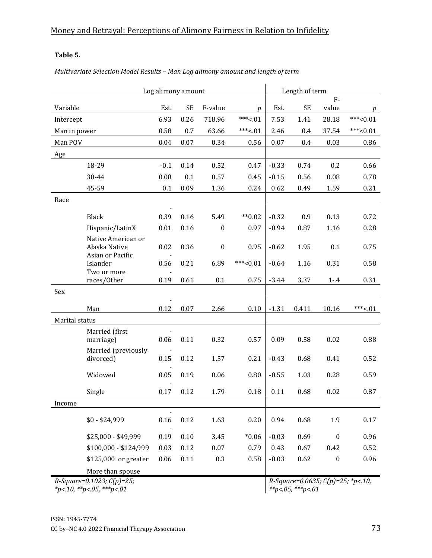## **Table 5.**

*Multivariate Selection Model Results – Man Log alimony amount and length of term*

| Log alimony amount |                               |                |           |                  | Length of term |          |           |                                      |             |
|--------------------|-------------------------------|----------------|-----------|------------------|----------------|----------|-----------|--------------------------------------|-------------|
|                    |                               |                |           |                  |                |          |           | $F -$                                |             |
| Variable           |                               | Est.           | <b>SE</b> | F-value          | D              | Est.     | <b>SE</b> | value                                | $p_{\perp}$ |
| Intercept          |                               | 6.93           | 0.26      | 718.96           | $***<.01$      | 7.53     | 1.41      | 28.18                                | $***<0.01$  |
| Man in power       |                               | 0.58           | 0.7       | 63.66            | $***<.01$      | 2.46     | 0.4       | 37.54                                | $***<0.01$  |
| Man POV            |                               | 0.04           | 0.07      | 0.34             | 0.56           | $0.07\,$ | 0.4       | 0.03                                 | 0.86        |
| Age                |                               |                |           |                  |                |          |           |                                      |             |
|                    | 18-29                         | $-0.1$         | 0.14      | 0.52             | 0.47           | $-0.33$  | 0.74      | 0.2                                  | 0.66        |
|                    | 30-44                         | 0.08           | 0.1       | 0.57             | 0.45           | $-0.15$  | 0.56      | 0.08                                 | 0.78        |
|                    | 45-59                         | 0.1            | 0.09      | 1.36             | 0.24           | 0.62     | 0.49      | 1.59                                 | 0.21        |
| Race               |                               |                |           |                  |                |          |           |                                      |             |
|                    |                               |                |           |                  |                |          |           |                                      |             |
|                    | Black                         | 0.39           | 0.16      | 5.49             | $*$ 0.02       | $-0.32$  | 0.9       | 0.13                                 | 0.72        |
|                    | Hispanic/LatinX               | 0.01           | 0.16      | $\boldsymbol{0}$ | 0.97           | $-0.94$  | 0.87      | 1.16                                 | 0.28        |
|                    | Native American or            |                |           |                  |                |          |           |                                      |             |
|                    | Alaska Native                 | 0.02           | 0.36      | $\boldsymbol{0}$ | 0.95           | $-0.62$  | 1.95      | 0.1                                  | 0.75        |
|                    | Asian or Pacific<br>Islander  | 0.56           | 0.21      | 6.89             | $***<0.01$     | $-0.64$  | 1.16      | 0.31                                 | 0.58        |
|                    | Two or more                   |                |           |                  |                |          |           |                                      |             |
|                    | races/Other                   | $0.19\,$       | 0.61      | 0.1              | 0.75           | $-3.44$  | 3.37      | $1 - .4$                             | 0.31        |
| Sex                |                               |                |           |                  |                |          |           |                                      |             |
|                    |                               |                |           |                  |                |          |           |                                      |             |
|                    | Man                           | 0.12           | 0.07      | 2.66             | 0.10           | $-1.31$  | 0.411     | 10.16                                | $***<.01$   |
| Marital status     |                               |                |           |                  |                |          |           |                                      |             |
|                    | Married (first<br>marriage)   | 0.06           | 0.11      | 0.32             | 0.57           | 0.09     | 0.58      | 0.02                                 | 0.88        |
|                    | Married (previously           |                |           |                  |                |          |           |                                      |             |
|                    | divorced)                     | 0.15           | 0.12      | 1.57             | 0.21           | $-0.43$  | 0.68      | 0.41                                 | 0.52        |
|                    | Widowed                       | 0.05           | 0.19      | 0.06             | 0.80           | $-0.55$  | 1.03      | 0.28                                 | 0.59        |
|                    | Single                        | 0.17           | 0.12      | 1.79             | 0.18           | 0.11     | 0.68      | 0.02                                 | 0.87        |
| Income             |                               |                |           |                  |                |          |           |                                      |             |
|                    |                               | $\blacksquare$ |           |                  |                |          |           |                                      |             |
|                    | $$0 - $24,999$                | 0.16           | 0.12      | 1.63             | 0.20           | 0.94     | 0.68      | 1.9                                  | 0.17        |
|                    | \$25,000 - \$49,999           | 0.19           | 0.10      | 3.45             | $*0.06$        | $-0.03$  | 0.69      | $\boldsymbol{0}$                     | 0.96        |
|                    | \$100,000 - \$124,999         | 0.03           | 0.12      | 0.07             | 0.79           | 0.43     | 0.67      | 0.42                                 | 0.52        |
|                    | \$125,000 or greater          | 0.06           | 0.11      | 0.3              | 0.58           | $-0.03$  | 0.62      | $\pmb{0}$                            | 0.96        |
|                    | More than spouse              |                |           |                  |                |          |           |                                      |             |
|                    | $R-Square = 0.1023; C(p)=25;$ |                |           |                  |                |          |           | R-Square=0.0635; $C(p)$ =25; *p<.10, |             |

*\*p<.10, \*\*p<.05, \*\*\*p<.01*

*R-Square=0.0635; C(p)=25; \*p<.10, \*\*p<.05, \*\*\*p<.01*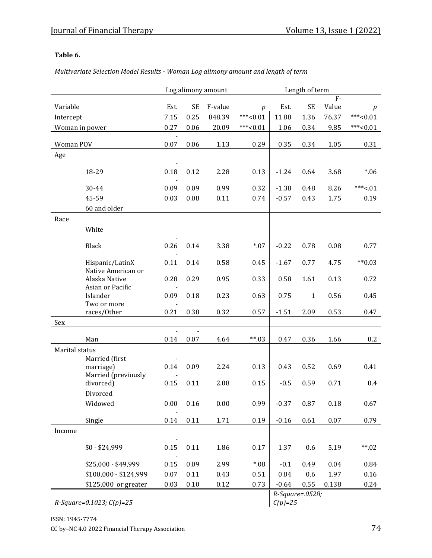#### **Table 6.**

*Multivariate Selection Model Results - Woman Log alimony amount and length of term*

|                |                                   |                          |           | Log alimony amount | Length of term |         |           |          |            |
|----------------|-----------------------------------|--------------------------|-----------|--------------------|----------------|---------|-----------|----------|------------|
|                |                                   |                          |           |                    |                |         |           | $F -$    |            |
| Variable       |                                   | Est.                     | <b>SE</b> | F-value            | p              | Est.    | <b>SE</b> | Value    | p          |
| Intercept      |                                   | 7.15                     | 0.25      | 848.39             | $***<0.01$     | 11.88   | 1.36      | 76.37    | $***<0.01$ |
| Woman in power |                                   | 0.27                     | 0.06      | 20.09              | $***<0.01$     | 1.06    | 0.34      | 9.85     | $***<0.01$ |
| Woman POV      |                                   | 0.07                     | 0.06      | 1.13               | 0.29           | 0.35    | 0.34      | 1.05     | 0.31       |
| Age            |                                   |                          |           |                    |                |         |           |          |            |
|                |                                   | $\overline{\phantom{a}}$ |           |                    |                |         |           |          |            |
|                | 18-29                             | 0.18                     | 0.12      | 2.28               | 0.13           | $-1.24$ | 0.64      | 3.68     | $*06$      |
|                |                                   |                          |           |                    |                |         |           |          |            |
|                | 30-44                             | 0.09                     | 0.09      | 0.99               | 0.32           | $-1.38$ | 0.48      | 8.26     | $***<.01$  |
|                | 45-59                             | 0.03                     | 0.08      | 0.11               | 0.74           | $-0.57$ | 0.43      | 1.75     | 0.19       |
|                | 60 and older                      |                          |           |                    |                |         |           |          |            |
| Race           |                                   |                          |           |                    |                |         |           |          |            |
|                | White                             |                          |           |                    |                |         |           |          |            |
|                | Black                             | 0.26                     | 0.14      | 3.38               | $*07$          | $-0.22$ | 0.78      | 0.08     | 0.77       |
|                |                                   |                          |           |                    |                |         |           |          |            |
|                | Hispanic/LatinX                   | 0.11                     | 0.14      | 0.58               | 0.45           | $-1.67$ | 0.77      | 4.75     | $*$ $0.03$ |
|                | Native American or                |                          |           |                    |                |         |           |          |            |
|                | Alaska Native<br>Asian or Pacific | 0.28                     | 0.29      | 0.95               | 0.33           | 0.58    | 1.61      | 0.13     | 0.72       |
|                | Islander                          | 0.09                     | 0.18      | 0.23               | 0.63           | 0.75    | $1\,$     | 0.56     | 0.45       |
|                | Two or more                       |                          |           |                    |                |         |           |          |            |
|                | races/Other                       | 0.21                     | 0.38      | 0.32               | 0.57           | $-1.51$ | 2.09      | 0.53     | 0.47       |
| Sex            |                                   |                          |           |                    |                |         |           |          |            |
|                |                                   |                          |           |                    |                |         |           |          |            |
|                | Man                               | 0.14                     | 0.07      | 4.64               | $**03$         | 0.47    | 0.36      | 1.66     | 0.2        |
| Marital status | Married (first                    | $\blacksquare$           |           |                    |                |         |           |          |            |
|                | marriage)                         | 0.14                     | 0.09      | 2.24               | 0.13           | 0.43    | 0.52      | 0.69     | 0.41       |
|                | Married (previously               |                          |           |                    |                |         |           |          |            |
|                | divorced)                         | 0.15                     | 0.11      | 2.08               | 0.15           | $-0.5$  | 0.59      | 0.71     | 0.4        |
|                | Divorced                          |                          |           |                    |                |         |           |          |            |
|                | Widowed                           | 0.00                     | 0.16      | 0.00               | 0.99           | $-0.37$ | 0.87      | 0.18     | 0.67       |
|                |                                   |                          |           |                    |                |         |           |          |            |
|                | Single                            | 0.14                     | 0.11      | 1.71               | 0.19           | $-0.16$ | 0.61      | $0.07\,$ | 0.79       |
| Income         |                                   | $\overline{a}$           |           |                    |                |         |           |          |            |
|                | $$0 - $24,999$                    | 0.15                     | 0.11      | 1.86               | 0.17           | 1.37    | 0.6       | 5.19     | $***.02$   |
|                |                                   |                          |           |                    |                |         |           |          |            |
|                | \$25,000 - \$49,999               | 0.15                     | 0.09      | 2.99               | $*08$          | $-0.1$  | 0.49      | 0.04     | 0.84       |
|                | \$100,000 - \$124,999             | $0.07\,$                 | 0.11      | 0.43               | 0.51           | 0.84    | 0.6       | 1.97     | 0.16       |
|                | \$125,000 or greater              | 0.03                     | 0.10      | 0.12               | 0.73           | $-0.64$ | 0.55      | 0.138    | 0.24       |

*R-Square=0.1023; C(p)=25*

*R-Square=.0528; C(p)=25*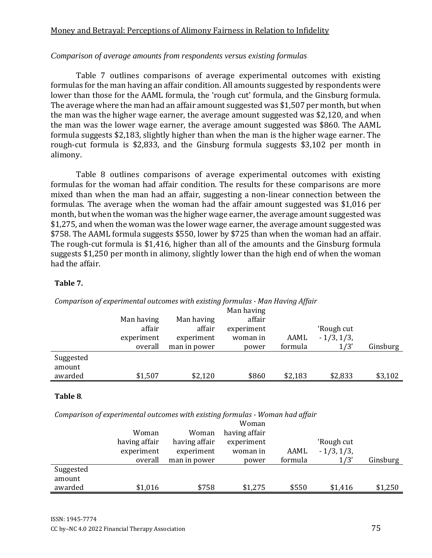#### *Comparison of average amounts from respondents versus existing formulas*

Table 7 outlines comparisons of average experimental outcomes with existing formulas for the man having an affair condition. All amounts suggested by respondents were lower than those for the AAML formula, the 'rough cut' formula, and the Ginsburg formula. The average where the man had an affair amount suggested was \$1,507 per month, but when the man was the higher wage earner, the average amount suggested was \$2,120, and when the man was the lower wage earner, the average amount suggested was \$860. The AAML formula suggests \$2,183, slightly higher than when the man is the higher wage earner. The rough-cut formula is \$2,833, and the Ginsburg formula suggests \$3,102 per month in alimony.

Table 8 outlines comparisons of average experimental outcomes with existing formulas for the woman had affair condition. The results for these comparisons are more mixed than when the man had an affair, suggesting a non-linear connection between the formulas. The average when the woman had the affair amount suggested was \$1,016 per month, but when the woman was the higher wage earner, the average amount suggested was \$1,275, and when the woman was the lower wage earner, the average amount suggested was \$758. The AAML formula suggests \$550, lower by \$725 than when the woman had an affair. The rough-cut formula is \$1,416, higher than all of the amounts and the Ginsburg formula suggests \$1,250 per month in alimony, slightly lower than the high end of when the woman had the affair.

#### **Table 7.**

|           |            |              | ັ<br>Man having |         |              |          |
|-----------|------------|--------------|-----------------|---------|--------------|----------|
|           | Man having | Man having   | affair          |         |              |          |
|           | affair     | affair       | experiment      |         | 'Rough cut   |          |
|           | experiment | experiment   | woman in        | AAML    | $-1/3, 1/3,$ |          |
|           | overall    | man in power | power           | formula | 1/3'         | Ginsburg |
| Suggested |            |              |                 |         |              |          |
| amount    |            |              |                 |         |              |          |
| awarded   | \$1,507    | \$2,120      | \$860           | \$2,183 | \$2,833      | \$3,102  |

#### *Comparison of experimental outcomes with existing formulas - Man Having Affair*

#### **Table 8**.

*Comparison of experimental outcomes with existing formulas - Woman had affair*

|           |               |               | Woman         |         |              |          |
|-----------|---------------|---------------|---------------|---------|--------------|----------|
|           | Woman         | Woman         | having affair |         |              |          |
|           | having affair | having affair | experiment    |         | 'Rough cut   |          |
|           | experiment    | experiment    | woman in      | AAML    | $-1/3, 1/3,$ |          |
|           | overall       | man in power  | power         | formula | 1/3'         | Ginsburg |
| Suggested |               |               |               |         |              |          |
| amount    |               |               |               |         |              |          |
| awarded   | \$1,016       | \$758         | \$1,275       | \$550   | \$1,416      | \$1,250  |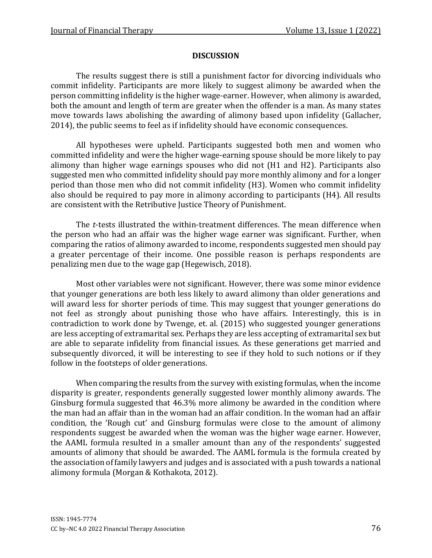#### **DISCUSSION**

The results suggest there is still a punishment factor for divorcing individuals who commit infidelity. Participants are more likely to suggest alimony be awarded when the person committing infidelity is the higher wage-earner. However, when alimony is awarded, both the amount and length of term are greater when the offender is a man. As many states move towards laws abolishing the awarding of alimony based upon infidelity (Gallacher, 2014), the public seems to feel as if infidelity should have economic consequences.

All hypotheses were upheld. Participants suggested both men and women who committed infidelity and were the higher wage-earning spouse should be more likely to pay alimony than higher wage earnings spouses who did not (H1 and H2). Participants also suggested men who committed infidelity should pay more monthly alimony and for a longer period than those men who did not commit infidelity (H3). Women who commit infidelity also should be required to pay more in alimony according to participants (H4). All results are consistent with the Retributive Justice Theory of Punishment.

The *t*-tests illustrated the within-treatment differences. The mean difference when the person who had an affair was the higher wage earner was significant. Further, when comparing the ratios of alimony awarded to income, respondents suggested men should pay a greater percentage of their income. One possible reason is perhaps respondents are penalizing men due to the wage gap (Hegewisch, 2018).

Most other variables were not significant. However, there was some minor evidence that younger generations are both less likely to award alimony than older generations and will award less for shorter periods of time. This may suggest that younger generations do not feel as strongly about punishing those who have affairs. Interestingly, this is in contradiction to work done by Twenge, et. al. (2015) who suggested younger generations are less accepting of extramarital sex. Perhaps they are less accepting of extramarital sex but are able to separate infidelity from financial issues. As these generations get married and subsequently divorced, it will be interesting to see if they hold to such notions or if they follow in the footsteps of older generations.

When comparing the results from the survey with existing formulas, when the income disparity is greater, respondents generally suggested lower monthly alimony awards. The Ginsburg formula suggested that 46.3% more alimony be awarded in the condition where the man had an affair than in the woman had an affair condition. In the woman had an affair condition, the 'Rough cut' and Ginsburg formulas were close to the amount of alimony respondents suggest be awarded when the woman was the higher wage earner. However, the AAML formula resulted in a smaller amount than any of the respondents' suggested amounts of alimony that should be awarded. The AAML formula is the formula created by the association of family lawyers and judges and is associated with a push towards a national alimony formula (Morgan & Kothakota, 2012).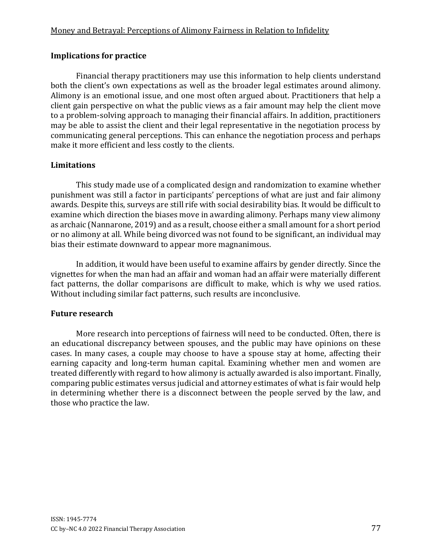## **Implications for practice**

Financial therapy practitioners may use this information to help clients understand both the client's own expectations as well as the broader legal estimates around alimony. Alimony is an emotional issue, and one most often argued about. Practitioners that help a client gain perspective on what the public views as a fair amount may help the client move to a problem-solving approach to managing their financial affairs. In addition, practitioners may be able to assist the client and their legal representative in the negotiation process by communicating general perceptions. This can enhance the negotiation process and perhaps make it more efficient and less costly to the clients.

## **Limitations**

This study made use of a complicated design and randomization to examine whether punishment was still a factor in participants' perceptions of what are just and fair alimony awards. Despite this, surveys are still rife with social desirability bias. It would be difficult to examine which direction the biases move in awarding alimony. Perhaps many view alimony as archaic (Nannarone, 2019) and as a result, choose either a small amount for a short period or no alimony at all. While being divorced was not found to be significant, an individual may bias their estimate downward to appear more magnanimous.

In addition, it would have been useful to examine affairs by gender directly. Since the vignettes for when the man had an affair and woman had an affair were materially different fact patterns, the dollar comparisons are difficult to make, which is why we used ratios. Without including similar fact patterns, such results are inconclusive.

## **Future research**

More research into perceptions of fairness will need to be conducted. Often, there is an educational discrepancy between spouses, and the public may have opinions on these cases. In many cases, a couple may choose to have a spouse stay at home, affecting their earning capacity and long-term human capital. Examining whether men and women are treated differently with regard to how alimony is actually awarded is also important. Finally, comparing public estimates versus judicial and attorney estimates of what is fair would help in determining whether there is a disconnect between the people served by the law, and those who practice the law.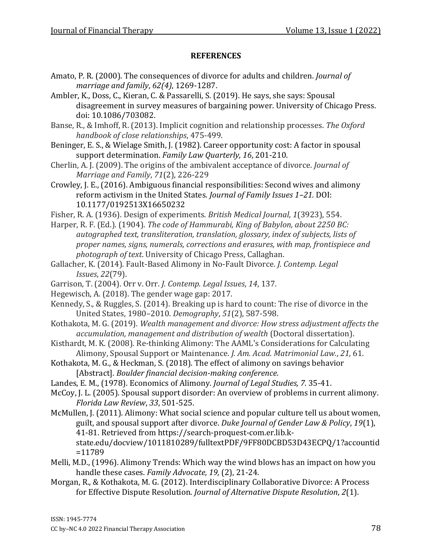#### **REFERENCES**

- Amato, P. R. (2000). The consequences of divorce for adults and children. *Journal of marriage and family*, *62(4)*, 1269-1287.
- Ambler, K., Doss, C., Kieran, C. & Passarelli, S. (2019). He says, she says: Spousal disagreement in survey measures of bargaining power. University of Chicago Press. doi: 10.1086/703082.
- Banse, R., & Imhoff, R. (2013). Implicit cognition and relationship processes. *The Oxford handbook of close relationships*, 475-499.
- Beninger, E. S., & Wielage Smith, J. (1982). Career opportunity cost: A factor in spousal support determination. *Family Law Quarterly, 16*, 201-210.
- Cherlin, A. J. (2009). The origins of the ambivalent acceptance of divorce. *Journal of Marriage and Family*, *71*(2), 226-229
- Crowley, J. E., (2016). Ambiguous financial responsibilities: Second wives and alimony reform activism in the United States. *Journal of Family Issues 1–21.* DOI: 10.1177/0192513X16650232
- Fisher, R. A. (1936). Design of experiments. *British Medical Journal*, *1*(3923), 554.
- Harper, R. F. (Ed.). (1904). *The code of Hammurabi, King of Babylon, about 2250 BC: autographed text, transliteration, translation, glossary, index of subjects, lists of proper names, signs, numerals, corrections and erasures, with map, frontispiece and photograph of text*. University of Chicago Press, Callaghan.
- Gallacher, K. (2014). Fault-Based Alimony in No-Fault Divorce. *J. Contemp. Legal Issues*, *22*(79).
- Garrison, T. (2004). Orr v. Orr. *J. Contemp. Legal Issues*, *14*, 137.
- Hegewisch, A. (2018). The gender wage gap: 2017.
- Kennedy, S., & Ruggles, S. (2014). Breaking up is hard to count: The rise of divorce in the United States, 1980–2010. *Demography*, *51*(2), 587-598.
- Kothakota, M. G. (2019). *Wealth management and divorce: How stress adjustment affects the accumulation, management and distribution of wealth* (Doctoral dissertation).
- Kisthardt, M. K. (2008). Re-thinking Alimony: The AAML's Considerations for Calculating Alimony, Spousal Support or Maintenance. *J. Am. Acad. Matrimonial Law.*, *21*, 61.
- Kothakota, M. G., & Heckman, S. (2018). The effect of alimony on savings behavior [Abstract]. *Boulder financial decision-making conference*.
- Landes, E. M., (1978). Economics of Alimony*. Journal of Legal Studies, 7.* 35-41.
- McCoy, J. L. (2005). Spousal support disorder: An overview of problems in current alimony. *Florida Law Review*, *33*, 501-525.
- McMullen, J. (2011). Alimony: What social science and popular culture tell us about women, guilt, and spousal support after divorce. *Duke Journal of Gender Law & Policy*, *19*(1), 41-81. Retrieved from https://search-proquest-com.er.lib.k
	- state.edu/docview/1011810289/fulltextPDF/9FF80DCBD53D43ECPQ/1?accountid =11789
- Melli, M.D., (1996). Alimony Trends: Which way the wind blows has an impact on how you handle these cases. *Family Advocate, 19,* (2), 21-24.
- Morgan, R., & Kothakota, M. G. (2012). Interdisciplinary Collaborative Divorce: A Process for Effective Dispute Resolution. *Journal of Alternative Dispute Resolution*, *2*(1).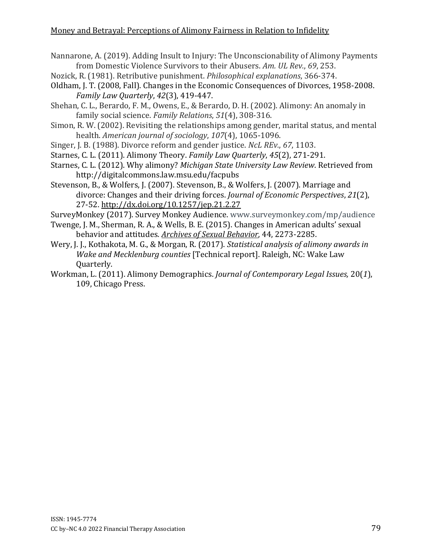- Nannarone, A. (2019). Adding Insult to Injury: The Unconscionability of Alimony Payments from Domestic Violence Survivors to their Abusers. *Am. UL Rev.*, *69*, 253.
- Nozick, R. (1981). Retributive punishment. *Philosophical explanations*, 366-374.
- Oldham, J. T. (2008, Fall). Changes in the Economic Consequences of Divorces, 1958-2008. *Family Law Quarterly*, *42*(3), 419-447.
- Shehan, C. L., Berardo, F. M., Owens, E., & Berardo, D. H. (2002). Alimony: An anomaly in family social science. *Family Relations*, *51*(4), 308-316.
- Simon, R. W. (2002). Revisiting the relationships among gender, marital status, and mental health. *American journal of sociology*, *107*(4), 1065-1096.
- Singer, J. B. (1988). Divorce reform and gender justice. *NcL REv.*, *67*, 1103.
- Starnes, C. L. (2011). Alimony Theory. *Family Law Quarterly*, *45*(2), 271-291.
- Starnes, C. L. (2012). Why alimony? *Michigan State University Law Review*. Retrieved from http://digitalcommons.law.msu.edu/facpubs
- Stevenson, B., & Wolfers, J. (2007). Stevenson, B., & Wolfers, J. (2007). Marriage and divorce: Changes and their driving forces. *Journal of Economic Perspectives*, *21*(2), 27-52.<http://dx.doi.org/10.1257/jep.21.2.27>
- SurveyMonkey (2017). Survey Monkey Audience. www.surveymonkey.com/mp/audience
- Twenge, J. M., Sherman, R. A., & Wells, B. E. (2015). Changes in American adults' sexual behavior and attitudes. *[Archives of Sexual Behavior](http://link.springer.com/article/10.1007%2Fs10508-015-0540-2)*, 44, 2273-2285.
- Wery, J. J., Kothakota, M. G., & Morgan, R. (2017). *Statistical analysis of alimony awards in Wake and Mecklenburg counties* [Technical report]. Raleigh, NC: Wake Law Quarterly.
- Workman, L. (2011). Alimony Demographics. *Journal of Contemporary Legal Issues,* 20(*1*), 109, Chicago Press.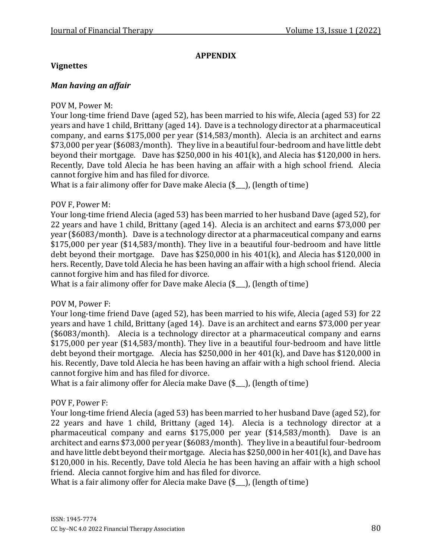## **APPENDIX**

#### **Vignettes**

#### *Man having an affair*

#### POV M, Power M:

Your long-time friend Dave (aged 52), has been married to his wife, Alecia (aged 53) for 22 years and have 1 child, Brittany (aged 14). Dave is a technology director at a pharmaceutical company, and earns \$175,000 per year (\$14,583/month). Alecia is an architect and earns \$73,000 per year (\$6083/month). They live in a beautiful four-bedroom and have little debt beyond their mortgage. Dave has \$250,000 in his 401(k), and Alecia has \$120,000 in hers. Recently, Dave told Alecia he has been having an affair with a high school friend. Alecia cannot forgive him and has filed for divorce.

What is a fair alimony offer for Dave make Alecia (\$<sub>-1</sub>), (length of time)

#### POV F, Power M:

Your long-time friend Alecia (aged 53) has been married to her husband Dave (aged 52), for 22 years and have 1 child, Brittany (aged 14). Alecia is an architect and earns \$73,000 per year (\$6083/month). Dave is a technology director at a pharmaceutical company and earns \$175,000 per year (\$14,583/month). They live in a beautiful four-bedroom and have little debt beyond their mortgage. Dave has \$250,000 in his 401(k), and Alecia has \$120,000 in hers. Recently, Dave told Alecia he has been having an affair with a high school friend. Alecia cannot forgive him and has filed for divorce.

What is a fair alimony offer for Dave make Alecia (\$...), (length of time)

#### POV M, Power F:

Your long-time friend Dave (aged 52), has been married to his wife, Alecia (aged 53) for 22 years and have 1 child, Brittany (aged 14). Dave is an architect and earns \$73,000 per year (\$6083/month). Alecia is a technology director at a pharmaceutical company and earns \$175,000 per year (\$14,583/month). They live in a beautiful four-bedroom and have little debt beyond their mortgage. Alecia has \$250,000 in her 401(k), and Dave has \$120,000 in his. Recently, Dave told Alecia he has been having an affair with a high school friend. Alecia cannot forgive him and has filed for divorce.

What is a fair alimony offer for Alecia make Dave (\$...), (length of time)

#### POV F, Power F:

Your long-time friend Alecia (aged 53) has been married to her husband Dave (aged 52), for 22 years and have 1 child, Brittany (aged 14). Alecia is a technology director at a pharmaceutical company and earns \$175,000 per year (\$14,583/month). Dave is an architect and earns \$73,000 per year (\$6083/month). They live in a beautiful four-bedroom and have little debt beyond their mortgage. Alecia has \$250,000 in her 401(k), and Dave has \$120,000 in his. Recently, Dave told Alecia he has been having an affair with a high school friend. Alecia cannot forgive him and has filed for divorce.

What is a fair alimony offer for Alecia make Dave  $(\$$  ), (length of time)